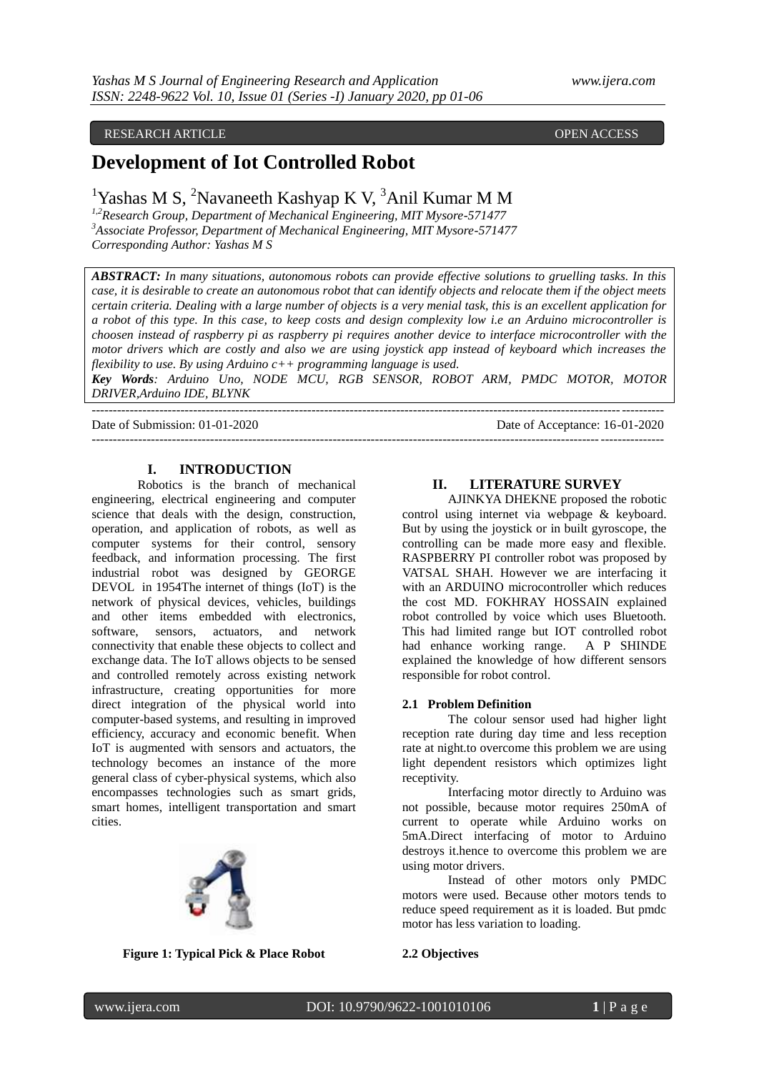# RESEARCH ARTICLE OPEN ACCESS

# **Development of Iot Controlled Robot**

<sup>1</sup>Yashas M S, <sup>2</sup>Navaneeth Kashyap K V, <sup>3</sup>Anil Kumar M M

*1,2Research Group, Department of Mechanical Engineering, MIT Mysore-571477 <sup>3</sup>Associate Professor, Department of Mechanical Engineering, MIT Mysore-571477 Corresponding Author: Yashas M S*

*ABSTRACT: In many situations, autonomous robots can provide effective solutions to gruelling tasks. In this case, it is desirable to create an autonomous robot that can identify objects and relocate them if the object meets certain criteria. Dealing with a large number of objects is a very menial task, this is an excellent application for a robot of this type. In this case, to keep costs and design complexity low i.e an Arduino microcontroller is choosen instead of raspberry pi as raspberry pi requires another device to interface microcontroller with the motor drivers which are costly and also we are using joystick app instead of keyboard which increases the flexibility to use. By using Arduino c++ programming language is used.* 

*Key Words: Arduino Uno, NODE MCU, RGB SENSOR, ROBOT ARM, PMDC MOTOR, MOTOR DRIVER,Arduino IDE, BLYNK* ---------------------------------------------------------------------------------------------------------------------------------------

Date of Submission: 01-01-2020 Date of Acceptance: 16-01-2020

---------------------------------------------------------------------------------------------------------------------------------------

# **I. INTRODUCTION**

Robotics is the branch of mechanical engineering, electrical engineering and computer science that deals with the design, construction, operation, and application of robots, as well as computer systems for their control, sensory feedback, and information processing. The first industrial robot was designed by GEORGE DEVOL in 1954The internet of things (IoT) is the network of physical devices, vehicles, buildings and other items embedded with electronics, software, sensors, actuators, and network connectivity that enable these objects to collect and exchange data. The IoT allows objects to be sensed and controlled remotely across existing network infrastructure, creating opportunities for more direct integration of the physical world into computer-based systems, and resulting in improved efficiency, accuracy and economic benefit. When IoT is augmented with sensors and actuators, the technology becomes an instance of the more general class of cyber-physical systems, which also encompasses technologies such as smart grids, smart homes, intelligent transportation and smart cities.



# **II. LITERATURE SURVEY**

AJINKYA DHEKNE proposed the robotic control using internet via webpage & keyboard. But by using the joystick or in built gyroscope, the controlling can be made more easy and flexible. RASPBERRY PI controller robot was proposed by VATSAL SHAH. However we are interfacing it with an ARDUINO microcontroller which reduces the cost MD. FOKHRAY HOSSAIN explained robot controlled by voice which uses Bluetooth. This had limited range but IOT controlled robot had enhance working range. A P SHINDE explained the knowledge of how different sensors responsible for robot control.

#### **2.1 Problem Definition**

The colour sensor used had higher light reception rate during day time and less reception rate at night.to overcome this problem we are using light dependent resistors which optimizes light receptivity.

Interfacing motor directly to Arduino was not possible, because motor requires 250mA of current to operate while Arduino works on 5mA.Direct interfacing of motor to Arduino destroys it.hence to overcome this problem we are using motor drivers.

Instead of other motors only PMDC motors were used. Because other motors tends to reduce speed requirement as it is loaded. But pmdc motor has less variation to loading.

# **Figure 1: Typical Pick & Place Robot**

#### **2.2 Objectives**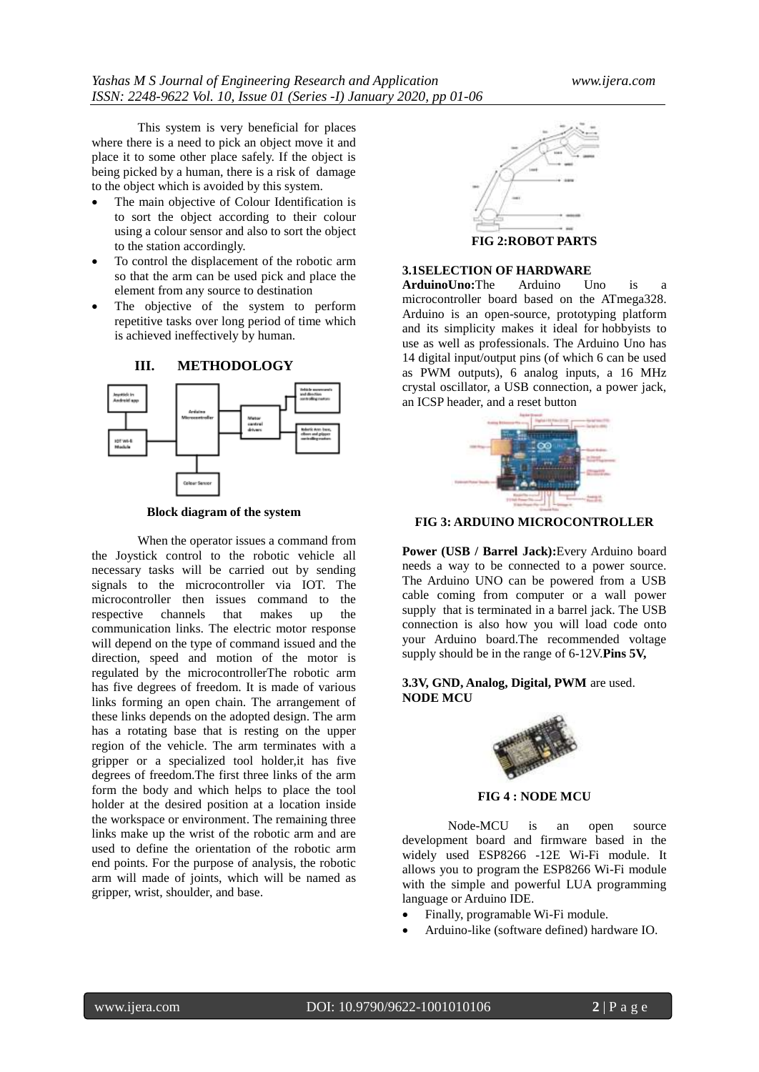This system is very beneficial for places where there is a need to pick an object move it and place it to some other place safely. If the object is being picked by a human, there is a risk of damage to the object which is avoided by this system.

- The main objective of Colour Identification is to sort the object according to their colour using a colour sensor and also to sort the object to the station accordingly.
- To control the displacement of the robotic arm so that the arm can be used pick and place the element from any source to destination
- The objective of the system to perform repetitive tasks over long period of time which is achieved ineffectively by human.



**Block diagram of the system**

When the operator issues a command from the Joystick control to the robotic vehicle all necessary tasks will be carried out by sending signals to the microcontroller via IOT. The microcontroller then issues command to the respective channels that makes up the communication links. The electric motor response will depend on the type of command issued and the direction, speed and motion of the motor is regulated by the microcontrollerThe robotic arm has five degrees of freedom. It is made of various links forming an open chain. The arrangement of these links depends on the adopted design. The arm has a rotating base that is resting on the upper region of the vehicle. The arm terminates with a gripper or a specialized tool holder,it has five degrees of freedom.The first three links of the arm form the body and which helps to place the tool holder at the desired position at a location inside the workspace or environment. The remaining three links make up the wrist of the robotic arm and are used to define the orientation of the robotic arm end points. For the purpose of analysis, the robotic arm will made of joints, which will be named as gripper, wrist, shoulder, and base.



**FIG 2:ROBOT PARTS**

### **3.1SELECTION OF HARDWARE**

**ArduinoUno:**The Arduino Uno is microcontroller board based on the ATmega328. Arduino is an open-source, prototyping platform and its simplicity makes it ideal for hobbyists to use as well as professionals. The Arduino Uno has 14 digital input/output pins (of which 6 can be used as PWM outputs), 6 analog inputs, a 16 MHz crystal oscillator, a USB connection, a power jack, an ICSP header, and a reset button



**FIG 3: ARDUINO MICROCONTROLLER**

**Power (USB / Barrel Jack):**Every Arduino board needs a way to be connected to a power source. The Arduino UNO can be powered from a USB cable coming from computer or a wall power supply that is terminated in a barrel jack. The USB connection is also how you will load code onto your Arduino board.The recommended voltage supply should be in the range of 6-12V.**Pins 5V,** 

# **3.3V, GND, Analog, Digital, PWM** are used. **NODE MCU**



#### **FIG 4 : NODE MCU**

Node-MCU is an open source development board and firmware based in the widely used ESP8266 -12E Wi-Fi module. It allows you to program the ESP8266 Wi-Fi module with the simple and powerful LUA programming language or Arduino IDE.

- Finally, programable Wi-Fi module.
- Arduino-like (software defined) hardware IO.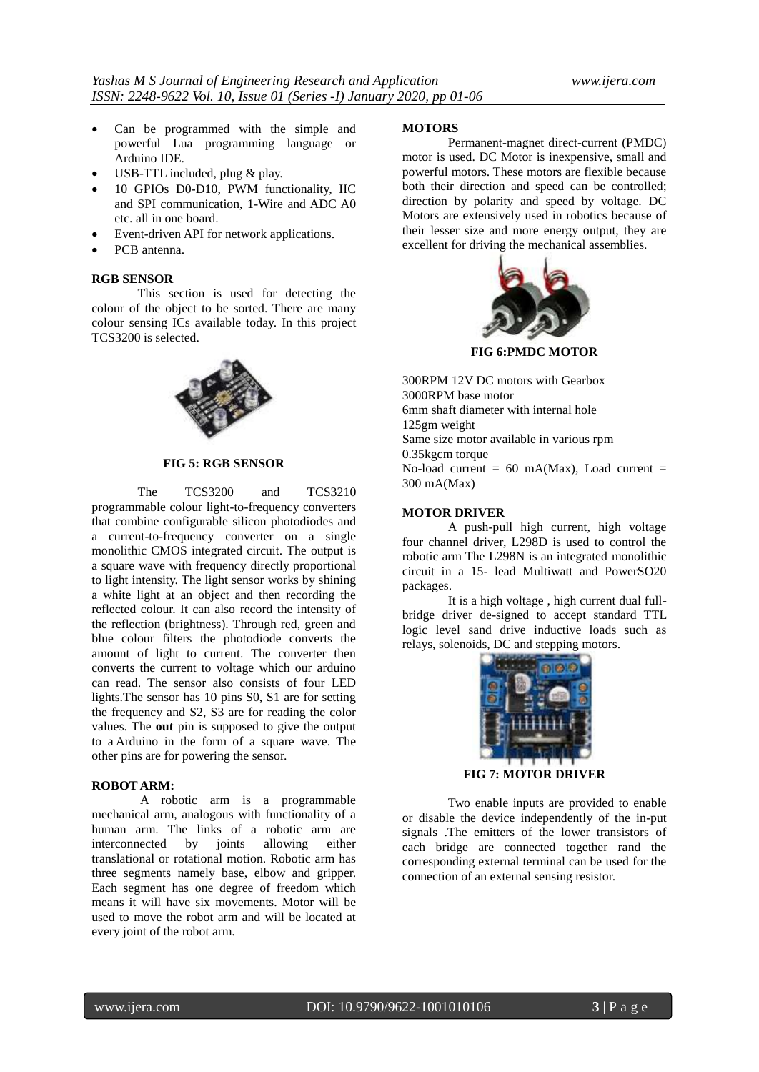- Can be programmed with the simple and powerful Lua programming language or Arduino IDE.
- USB-TTL included, plug & play.
- 10 GPIOs D0-D10, PWM functionality, IIC and SPI communication, 1-Wire and ADC A0 etc. all in one board.
- Event-driven API for network applications.
- PCB antenna.

#### **RGB SENSOR**

This section is used for detecting the colour of the object to be sorted. There are many colour sensing ICs available today. In this project TCS3200 is selected.



#### **FIG 5: RGB SENSOR**

The TCS3200 and TCS3210 programmable colour light-to-frequency converters that combine configurable silicon photodiodes and a current-to-frequency converter on a single monolithic CMOS integrated circuit. The output is a square wave with frequency directly proportional to light intensity. The light sensor works by shining a white light at an object and then recording the reflected colour. It can also record the intensity of the reflection (brightness). Through red, green and blue colour filters the photodiode converts the amount of light to current. The converter then converts the current to voltage which our arduino can read. The sensor also consists of four LED lights.The sensor has 10 pins S0, S1 are for setting the frequency and S2, S3 are for reading the color values. The **out** pin is supposed to give the output to a Arduino in the form of a square wave. The other pins are for powering the sensor.

### **ROBOT ARM:**

A robotic arm is a programmable mechanical arm, analogous with functionality of a human arm. The links of a robotic arm are interconnected by joints allowing either translational or rotational motion. Robotic arm has three segments namely base, elbow and gripper. Each segment has one degree of freedom which means it will have six movements. Motor will be used to move the robot arm and will be located at every joint of the robot arm.

# **MOTORS**

Permanent-magnet direct-current (PMDC) motor is used. DC Motor is inexpensive, small and powerful motors. These motors are flexible because both their direction and speed can be controlled; direction by polarity and speed by voltage. DC Motors are extensively used in robotics because of their lesser size and more energy output, they are excellent for d[riving the mechanical a](https://www.google.co.in/imgres?imgurl=https://images-na.ssl-images-amazon.com/images/I/414fRAKtr7L._SX425_.jpg&imgrefurl=https://www.amazon.in/Easy-Electronics-Gear-Motor-Geared/dp/B06XPC5Y7X&docid=SVoSnXudVUx0FM&tbnid=8CdqXZRxQtlN0M:&vet=10ahUKEwiF_N75lMXgAhXRGKYKHSO4AyAQMwhSKAUwBQ..i&w=425&h=304&bih=651&biw=1366&q=dc motor 300 rpm&ved=0ahUKEwiF_N75lMXgAhXRGKYKHSO4AyAQMwhSKAUwBQ&iact=mrc&uact=8)ssemblies.



**FIG 6:PMDC MOTOR**

300RPM 12V DC motors with Gearbox 3000RPM base motor 6mm shaft diameter with internal hole 125gm weight Same size motor available in various rpm 0.35kgcm torque No-load current =  $60$  mA(Max), Load current = 300 mA(Max)

#### **MOTOR DRIVER**

A push-pull high current, high voltage four channel driver, L298D is used to control the robotic arm The L298N is an integrated monolithic circuit in a 15- lead Multiwatt and PowerSO20 packages.

It is a high voltage , high current dual fullbridge driver de-signed to accept standard TTL logic level sand drive inductive loads such as relays, solenoids, DC and stepping motors.



Two enable inputs are provided to enable or disable the device independently of the in-put signals .The emitters of the lower transistors of each bridge are connected together rand the corresponding external terminal can be used for the connection of an external sensing resistor.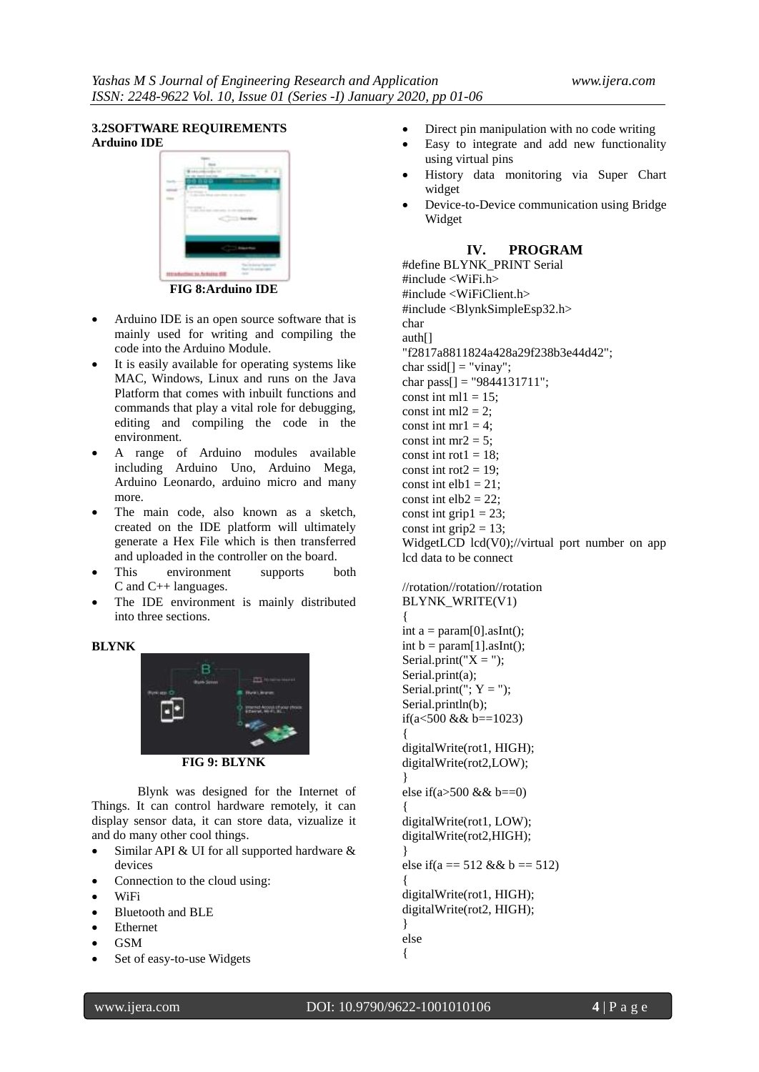# **3.2SOFTWARE REQUIREMENTS Arduino IDE**



**[FIG 8:Arduino IDE](https://www.theengineeringprojects.com/wp-content/uploads/2018/10/Introduction-to-Arduino-IDE-9.jpg)**

- Arduino IDE is an open source software that is mainly used for writing and compiling the code into the Arduino Module.
- It is easily available for operating systems like MAC, Windows, Linux and runs on the Java Platform that comes with inbuilt functions and commands that play a vital role for debugging, editing and compiling the code in the environment.
- A range of Arduino modules available including Arduino Uno, Arduino Mega, Arduino Leonardo, arduino micro and many more.
- The main code, also known as a sketch, created on the IDE platform will ultimately generate a Hex File which is then transferred and uploaded in the controller on the board.
- This environment supports both C and C++ languages.
- The IDE environment is mainly distributed into three sections.

# **BLYNK**



**FIG 9: BLYNK**

Blynk was designed for the Internet of Things. It can control hardware remotely, it can display sensor data, it can store data, vizualize it and do many other cool things.

- $\bullet$  Similar API & UI for all supported hardware & devices
- Connection to the cloud using:
- WiFi
- Bluetooth and BLE
- Ethernet
- GSM
- Set of easy-to-use Widgets
- Direct pin manipulation with no code writing
- Easy to integrate and add new functionality using virtual pins
- History data monitoring via Super Chart widget
- Device-to-Device communication using Bridge Widget

# **IV. PROGRAM**

#define BLYNK\_PRINT Serial #include <WiFi.h> #include <WiFiClient.h> #include <BlynkSimpleEsp32.h> char auth[] "f2817a8811824a428a29f238b3e44d42"; char ssid $[] = "vinay";$ char pass $[] =$  "9844131711"; const int ml1 =  $15$ ; const int ml $2 = 2$ ; const int  $mr1 = 4$ ; const int  $mr2 = 5$ : const int rot $1 = 18$ : const int rot $2 = 19$ ; const int elb $1 = 21$ ; const int  $elb2 = 22$ ; const int grip $1 = 23$ ; const int grip $2 = 13$ ; WidgetLCD lcd(V0);//virtual port number on app lcd data to be connect

//rotation//rotation//rotation BLYNK\_WRITE(V1) { int  $a = param[0].asInt();$ int  $b = param[1].asInt($ ; Serial.print(" $X =$ "); Serial.print(a); Serial.print(";  $Y =$ "); Serial.println(b); if(a<500 && b==1023) { digitalWrite(rot1, HIGH); digitalWrite(rot2,LOW); } else if(a>500 && b==0) { digitalWrite(rot1, LOW); digitalWrite(rot2,HIGH); } else if(a =  $512 \& 8 \& 0 = 512$ ) { digitalWrite(rot1, HIGH); digitalWrite(rot2, HIGH); } else {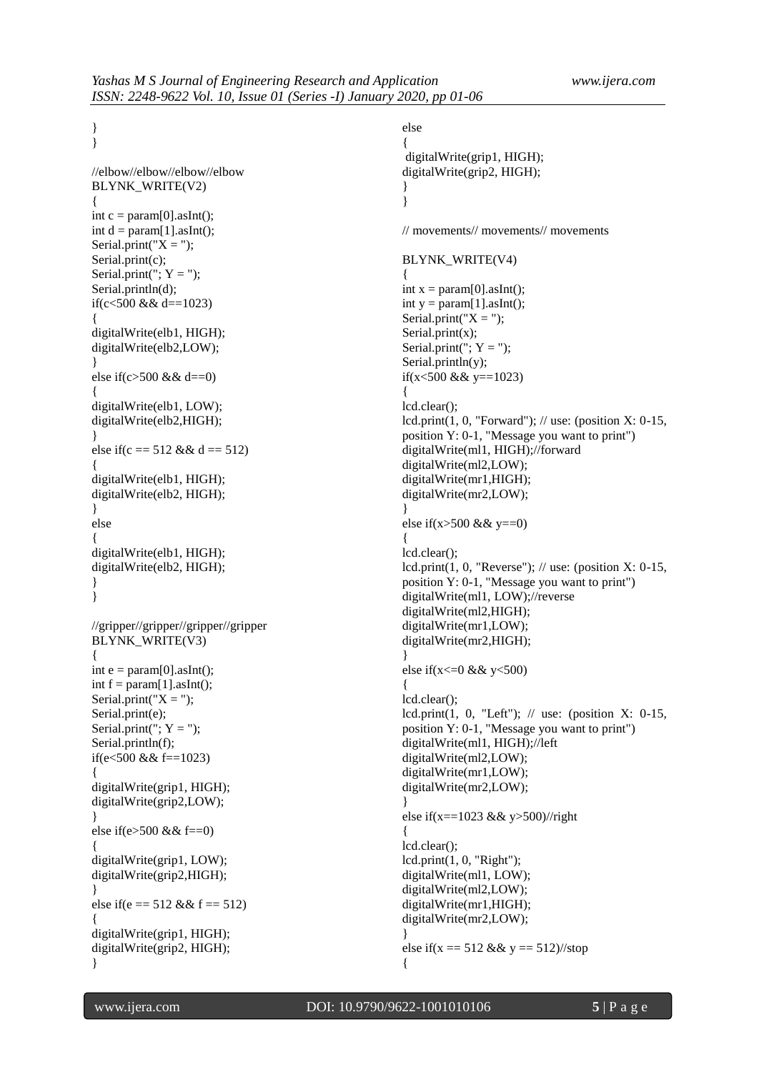} }

> //elbow//elbow//elbow//elbow BLYNK\_WRITE(V2) { int  $c = param[0].asInt();$ int  $d = param[1].asInt($ ; Serial.print(" $X =$ "); Serial.print(c); Serial.print(";  $Y =$ "); Serial.println(d); if(c<500 && d==1023) { digitalWrite(elb1, HIGH); digitalWrite(elb2,LOW); } else if(c>500 && d==0) { digitalWrite(elb1, LOW); digitalWrite(elb2,HIGH); } else if(c =  $512 \&$  d =  $512$ ) { digitalWrite(elb1, HIGH); digitalWrite(elb2, HIGH); } else { digitalWrite(elb1, HIGH); digitalWrite(elb2, HIGH); } } //gripper//gripper//gripper//gripper BLYNK\_WRITE(V3) { int  $e = param[0].asInt($ ; int  $f = param[1].asInt();$ Serial.print(" $X =$ "); Serial.print(e); Serial.print(";  $Y =$ "); Serial.println(f); if(e<500 && f==1023) { digitalWrite(grip1, HIGH); digitalWrite(grip2,LOW); } else if(e>500 && f==0) { digitalWrite(grip1, LOW); digitalWrite(grip2,HIGH); } else if(e =  $512 \&$ f =  $512$ ) { digitalWrite(grip1, HIGH); digitalWrite(grip2, HIGH); }

else { digitalWrite(grip1, HIGH); digitalWrite(grip2, HIGH); } } // movements// movements// movements BLYNK\_WRITE(V4) { int  $x = param[0].asInt()$ ; int  $y = param[1].asInt()$ ; Serial.print(" $X =$ "); Serial.print(x); Serial.print(";  $Y =$ "); Serial.println(y); if(x<500 && y==1023) { lcd.clear(); lcd.print(1, 0, "Forward"); // use: (position X: 0-15, position Y: 0-1, "Message you want to print") digitalWrite(ml1, HIGH);//forward digitalWrite(ml2,LOW); digitalWrite(mr1,HIGH); digitalWrite(mr2,LOW); } else if(x>500 && y==0) { lcd.clear(); lcd.print(1, 0, "Reverse");  $\frac{1}{2}$  use: (position X: 0-15, position Y: 0-1, "Message you want to print") digitalWrite(ml1, LOW);//reverse digitalWrite(ml2,HIGH); digitalWrite(mr1,LOW); digitalWrite(mr2,HIGH); } else if(x <= 0 & & y < 500) { lcd.clear(); lcd.print(1, 0, "Left");  $\text{/} \text{/}$  use: (position X: 0-15, position Y: 0-1, "Message you want to print") digitalWrite(ml1, HIGH);//left digitalWrite(ml2,LOW); digitalWrite(mr1,LOW); digitalWrite(mr2,LOW); } else if(x==1023 && y>500)//right { lcd.clear(); lcd.print(1, 0, "Right"); digitalWrite(ml1, LOW); digitalWrite(ml2,LOW); digitalWrite(mr1,HIGH); digitalWrite(mr2,LOW); } else if(x =  $512 \& 8 \& 9 = 512$ )//stop {